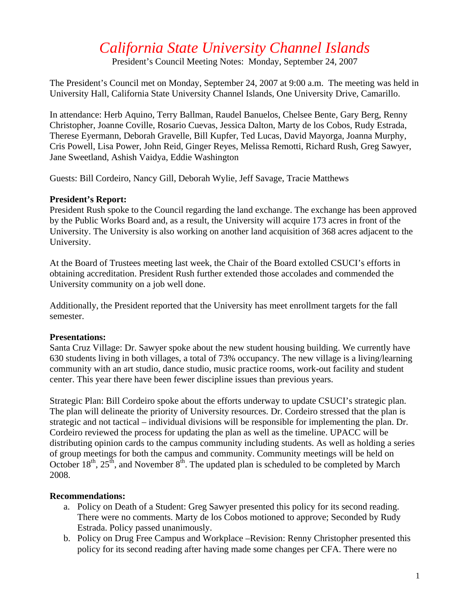# *California State University Channel Islands*

President's Council Meeting Notes: Monday, September 24, 2007

The President's Council met on Monday, September 24, 2007 at 9:00 a.m. The meeting was held in University Hall, California State University Channel Islands, One University Drive, Camarillo.

In attendance: Herb Aquino, Terry Ballman, Raudel Banuelos, Chelsee Bente, Gary Berg, Renny Christopher, Joanne Coville, Rosario Cuevas, Jessica Dalton, Marty de los Cobos, Rudy Estrada, Therese Eyermann, Deborah Gravelle, Bill Kupfer, Ted Lucas, David Mayorga, Joanna Murphy, Cris Powell, Lisa Power, John Reid, Ginger Reyes, Melissa Remotti, Richard Rush, Greg Sawyer, Jane Sweetland, Ashish Vaidya, Eddie Washington

Guests: Bill Cordeiro, Nancy Gill, Deborah Wylie, Jeff Savage, Tracie Matthews

#### **President's Report:**

President Rush spoke to the Council regarding the land exchange. The exchange has been approved by the Public Works Board and, as a result, the University will acquire 173 acres in front of the University. The University is also working on another land acquisition of 368 acres adjacent to the University.

At the Board of Trustees meeting last week, the Chair of the Board extolled CSUCI's efforts in obtaining accreditation. President Rush further extended those accolades and commended the University community on a job well done.

Additionally, the President reported that the University has meet enrollment targets for the fall semester.

# **Presentations:**

Santa Cruz Village: Dr. Sawyer spoke about the new student housing building. We currently have 630 students living in both villages, a total of 73% occupancy. The new village is a living/learning community with an art studio, dance studio, music practice rooms, work-out facility and student center. This year there have been fewer discipline issues than previous years.

Strategic Plan: Bill Cordeiro spoke about the efforts underway to update CSUCI's strategic plan. The plan will delineate the priority of University resources. Dr. Cordeiro stressed that the plan is strategic and not tactical – individual divisions will be responsible for implementing the plan. Dr. Cordeiro reviewed the process for updating the plan as well as the timeline. UPACC will be distributing opinion cards to the campus community including students. As well as holding a series of group meetings for both the campus and community. Community meetings will be held on October  $18^{th}$ ,  $25^{th}$ , and November  $8^{th}$ . The updated plan is scheduled to be completed by March 2008.

# **Recommendations:**

- a. Policy on Death of a Student: Greg Sawyer presented this policy for its second reading. There were no comments. Marty de los Cobos motioned to approve; Seconded by Rudy Estrada. Policy passed unanimously.
- b. Policy on Drug Free Campus and Workplace –Revision: Renny Christopher presented this policy for its second reading after having made some changes per CFA. There were no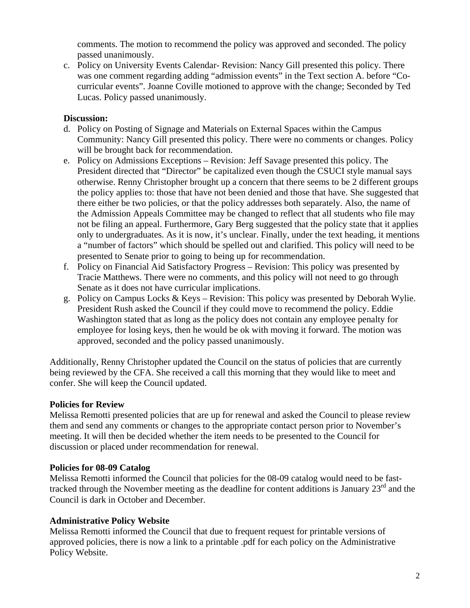comments. The motion to recommend the policy was approved and seconded. The policy passed unanimously.

c. Policy on University Events Calendar- Revision: Nancy Gill presented this policy. There was one comment regarding adding "admission events" in the Text section A. before "Cocurricular events". Joanne Coville motioned to approve with the change; Seconded by Ted Lucas. Policy passed unanimously.

# **Discussion:**

- d. Policy on Posting of Signage and Materials on External Spaces within the Campus Community: Nancy Gill presented this policy. There were no comments or changes. Policy will be brought back for recommendation.
- e. Policy on Admissions Exceptions Revision: Jeff Savage presented this policy. The President directed that "Director" be capitalized even though the CSUCI style manual says otherwise. Renny Christopher brought up a concern that there seems to be 2 different groups the policy applies to: those that have not been denied and those that have. She suggested that there either be two policies, or that the policy addresses both separately. Also, the name of the Admission Appeals Committee may be changed to reflect that all students who file may not be filing an appeal. Furthermore, Gary Berg suggested that the policy state that it applies only to undergraduates. As it is now, it's unclear. Finally, under the text heading, it mentions a "number of factors" which should be spelled out and clarified. This policy will need to be presented to Senate prior to going to being up for recommendation.
- f. Policy on Financial Aid Satisfactory Progress Revision: This policy was presented by Tracie Matthews. There were no comments, and this policy will not need to go through Senate as it does not have curricular implications.
- g. Policy on Campus Locks & Keys Revision: This policy was presented by Deborah Wylie. President Rush asked the Council if they could move to recommend the policy. Eddie Washington stated that as long as the policy does not contain any employee penalty for employee for losing keys, then he would be ok with moving it forward. The motion was approved, seconded and the policy passed unanimously.

Additionally, Renny Christopher updated the Council on the status of policies that are currently being reviewed by the CFA. She received a call this morning that they would like to meet and confer. She will keep the Council updated.

# **Policies for Review**

Melissa Remotti presented policies that are up for renewal and asked the Council to please review them and send any comments or changes to the appropriate contact person prior to November's meeting. It will then be decided whether the item needs to be presented to the Council for discussion or placed under recommendation for renewal.

#### **Policies for 08-09 Catalog**

Melissa Remotti informed the Council that policies for the 08-09 catalog would need to be fasttracked through the November meeting as the deadline for content additions is January 23<sup>rd</sup> and the Council is dark in October and December.

# **Administrative Policy Website**

Melissa Remotti informed the Council that due to frequent request for printable versions of approved policies, there is now a link to a printable .pdf for each policy on the Administrative Policy Website.